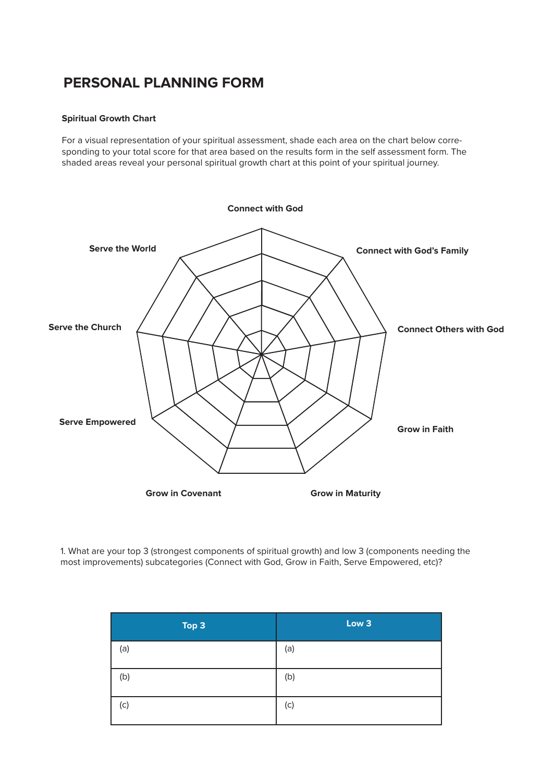## **PERSONAL PLANNING FORM**

## **Spiritual Growth Chart**

For a visual representation of your spiritual assessment, shade each area on the chart below corresponding to your total score for that area based on the results form in the self assessment form. The shaded areas reveal your personal spiritual growth chart at this point of your spiritual journey.



1. What are your top 3 (strongest components of spiritual growth) and low 3 (components needing the most improvements) subcategories (Connect with God, Grow in Faith, Serve Empowered, etc)?

| Top 3 | Low <sub>3</sub> |
|-------|------------------|
| (a)   | (a)              |
| (b)   | (b)              |
| (c)   | (c)              |